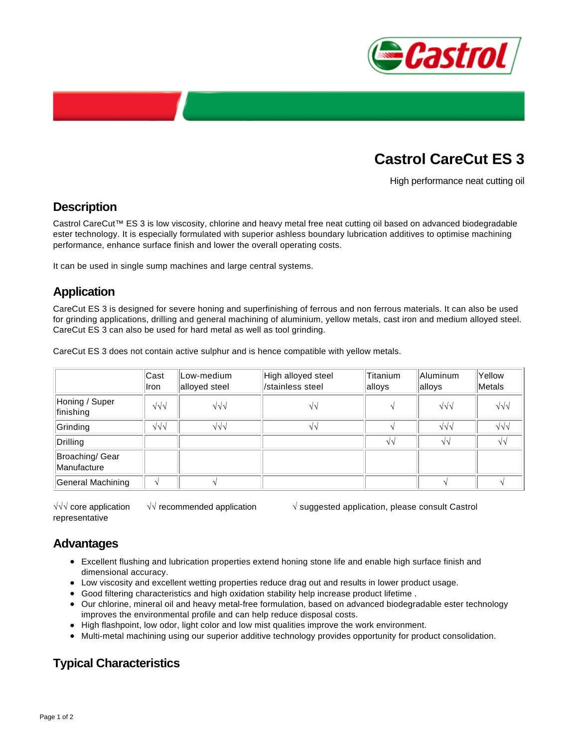

# **Castrol CareCut ES 3**

High performance neat cutting oil

### **Description**

Castrol CareCut™ ES 3 is low viscosity, chlorine and heavy metal free neat cutting oil based on advanced biodegradable ester technology. It is especially formulated with superior ashless boundary lubrication additives to optimise machining performance, enhance surface finish and lower the overall operating costs.

It can be used in single sump machines and large central systems.

# **Application**

CareCut ES 3 is designed for severe honing and superfinishing of ferrous and non ferrous materials. It can also be used for grinding applications, drilling and general machining of aluminium, yellow metals, cast iron and medium alloyed steel. CareCut ES 3 can also be used for hard metal as well as tool grinding.

CareCut ES 3 does not contain active sulphur and is hence compatible with yellow metals.

|                                | Cast<br>Iron     | Low-medium<br>alloyed steel | High alloyed steel<br>/stainless steel | Titanium<br>alloys | Aluminum<br>alloys | Yellow<br>Metals  |
|--------------------------------|------------------|-----------------------------|----------------------------------------|--------------------|--------------------|-------------------|
| Honing / Super<br>finishing    | $\sqrt{\sqrt{}}$ | $\sqrt{\sqrt{}}$            | $\sqrt{v}$                             |                    | $\sqrt{2}$         | $\sqrt{v}$        |
| Grinding                       | $\sqrt{2}$       | $\sqrt{\sqrt{}}$            | VV                                     |                    | $\sqrt{\sqrt{}}$   | $\sqrt{v}$        |
| Drilling                       |                  |                             |                                        | $\sqrt{2}$         | $\sqrt{2}$         | $\sqrt{\sqrt{2}}$ |
| Broaching/ Gear<br>Manufacture |                  |                             |                                        |                    |                    |                   |
| General Machining              |                  |                             |                                        |                    |                    |                   |

√√√ core application √√ recommended application √ suggested application, please consult Castrol representative

### **Advantages**

- Excellent flushing and lubrication properties extend honing stone life and enable high surface finish and dimensional accuracy.
- Low viscosity and excellent wetting properties reduce drag out and results in lower product usage.
- Good filtering characteristics and high oxidation stability help increase product lifetime .
- Our chlorine, mineral oil and heavy metal-free formulation, based on advanced biodegradable ester technology improves the environmental profile and can help reduce disposal costs.
- High flashpoint, low odor, light color and low mist qualities improve the work environment.
- Multi-metal machining using our superior additive technology provides opportunity for product consolidation.

# **Typical Characteristics**